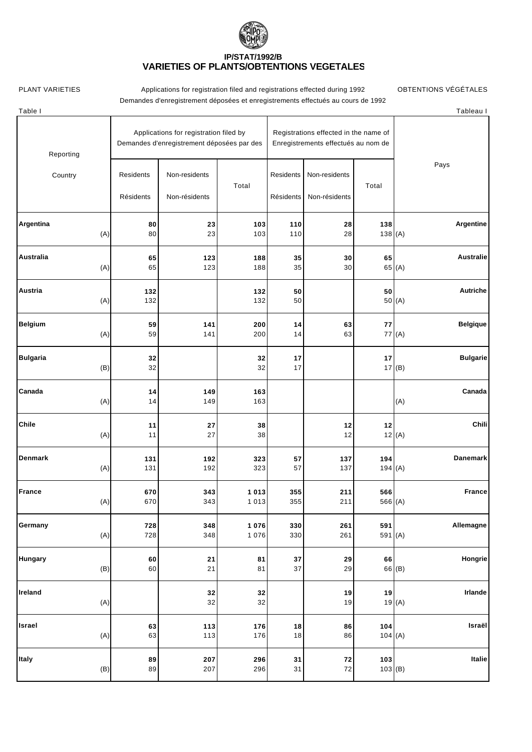

## **IP/STAT/1992/B VARIETIES OF PLANTS/OBTENTIONS VÉGÉTALES**

PLANT VARIETIES **Applications for registration filed and registrations effected during 1992** OBTENTIONS VÉGÉTALES Demandes d'enregistrement déposées et enregistrements effectués au cours de 1992

| Table I                |                        |                                                                                      |                                                                              |                        |                                |           | Tableau I                 |
|------------------------|------------------------|--------------------------------------------------------------------------------------|------------------------------------------------------------------------------|------------------------|--------------------------------|-----------|---------------------------|
| Reporting              |                        | Applications for registration filed by<br>Demandes d'enregistrement déposées par des | Registrations effected in the name of<br>Enregistrements effectués au nom de |                        |                                |           |                           |
| Country                | Residents<br>Résidents | Non-residents<br>Non-résidents                                                       | Total                                                                        | Residents<br>Résidents | Non-residents<br>Non-résidents | Total     | Pays                      |
| Argentina              | 80                     | 23                                                                                   | 103                                                                          | 110                    | 28                             | 138       | <b>Argentine</b>          |
| (A)                    | 80                     | 23                                                                                   | 103                                                                          | 110                    | 28                             | 138(A)    |                           |
| Australia              | 65                     | 123                                                                                  | 188                                                                          | 35                     | 30                             | 65        | <b>Australie</b>          |
| (A)                    | 65                     | 123                                                                                  | 188                                                                          | 35                     | 30                             |           | 65 (A)                    |
| Austria<br>(A)         | 132<br>132             |                                                                                      | 132<br>132                                                                   | 50<br>50               |                                | 50        | <b>Autriche</b><br>50 (A) |
| <b>Belgium</b>         | 59                     | 141                                                                                  | 200                                                                          | 14                     | 63                             | 77        | <b>Belgique</b>           |
| (A)                    | 59                     | 141                                                                                  | 200                                                                          | 14                     | 63                             |           | 77(A)                     |
| <b>Bulgaria</b><br>(B) | 32<br>32               |                                                                                      | 32<br>32                                                                     | 17<br>17               |                                | 17        | <b>Bulgarie</b><br>17(B)  |
| Canada<br>(A)          | 14<br>14               | 149<br>149                                                                           | 163<br>163                                                                   |                        |                                |           | Canada<br>(A)             |
| Chile<br>(A)           | 11<br>11               | 27<br>27                                                                             | 38<br>38                                                                     |                        | 12<br>12                       | $12$      | Chili<br>12(A)            |
| Denmark                | 131                    | 192                                                                                  | 323                                                                          | 57                     | 137                            | 194       | <b>Danemark</b>           |
| (A)                    | 131                    | 192                                                                                  | 323                                                                          | 57                     | 137                            | 194 $(A)$ |                           |
| <b>France</b>          | 670                    | 343                                                                                  | 1 0 1 3                                                                      | 355                    | 211                            | 566       | <b>France</b>             |
| (A)                    | 670                    | 343                                                                                  | 1 0 1 3                                                                      | 355                    | 211                            | 566 (A)   |                           |
| Germany                | 728                    | 348                                                                                  | 1 0 7 6                                                                      | 330                    | 261                            | 591       | Allemagne                 |
| (A)                    | 728                    | 348                                                                                  | 1 0 7 6                                                                      | 330                    | 261                            | 591 (A)   |                           |
| Hungary                | 60                     | 21                                                                                   | 81                                                                           | 37                     | 29                             | 66        | Hongrie                   |
| (B)                    | $60\,$                 | 21                                                                                   | 81                                                                           | 37                     | 29                             |           | 66 <sub>(B)</sub>         |
| Ireland<br>(A)         |                        | 32<br>32                                                                             | 32<br>32                                                                     |                        | 19<br>19                       | 19        | Irlande<br>19(A)          |
| Israel                 | 63                     | 113                                                                                  | 176                                                                          | 18                     | 86                             | 104       | Israël                    |
| (A)                    | 63                     | 113                                                                                  | 176                                                                          | 18                     | 86                             | 104(A)    |                           |
| Italy                  | 89                     | 207                                                                                  | 296                                                                          | 31                     | 72                             | 103       | Italie                    |
| (B)                    | 89                     | 207                                                                                  | 296                                                                          | 31                     | 72                             | 103(B)    |                           |